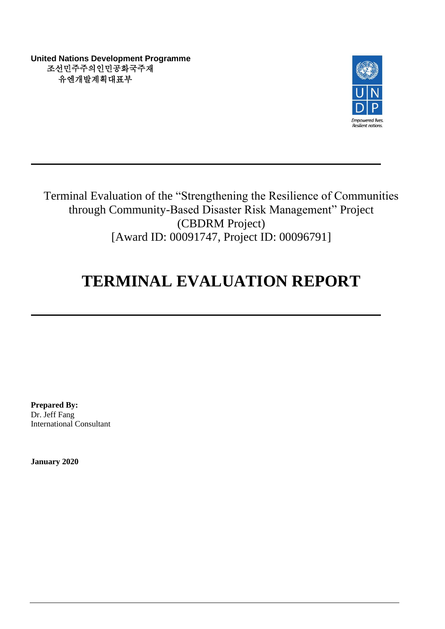**United Nations Development Programme** 조선민주주의인민공화국주재 유엔개발계획대표부



Terminal Evaluation of the "Strengthening the Resilience of Communities through Community-Based Disaster Risk Management" Project (CBDRM Project) [Award ID: 00091747, Project ID: 00096791]

# **TERMINAL EVALUATION REPORT**

**Prepared By:** Dr. Jeff Fang International Consultant

**January 2020**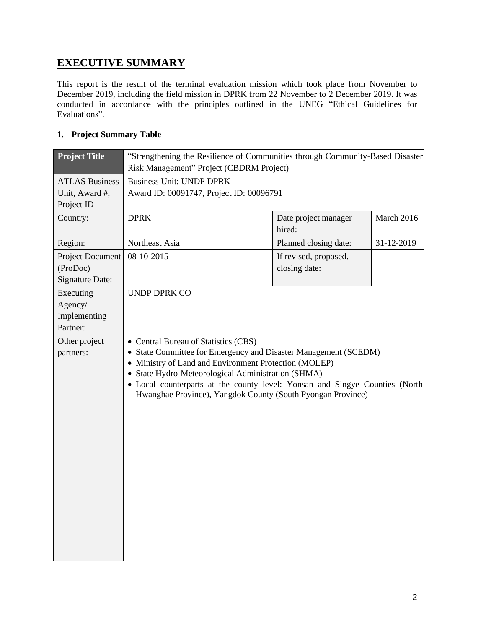# **EXECUTIVE SUMMARY**

This report is the result of the terminal evaluation mission which took place from November to December 2019, including the field mission in DPRK from 22 November to 2 December 2019. It was conducted in accordance with the principles outlined in the UNEG "Ethical Guidelines for Evaluations".

# **1. Project Summary Table**

| <b>Project Title</b>                                          | "Strengthening the Resilience of Communities through Community-Based Disaster<br>Risk Management" Project (CBDRM Project)                                                                                                                                                                                                                                            |                                        |            |
|---------------------------------------------------------------|----------------------------------------------------------------------------------------------------------------------------------------------------------------------------------------------------------------------------------------------------------------------------------------------------------------------------------------------------------------------|----------------------------------------|------------|
| <b>ATLAS Business</b>                                         | <b>Business Unit: UNDP DPRK</b>                                                                                                                                                                                                                                                                                                                                      |                                        |            |
| Unit, Award #,<br>Project ID                                  | Award ID: 00091747, Project ID: 00096791                                                                                                                                                                                                                                                                                                                             |                                        |            |
| Country:                                                      | <b>DPRK</b>                                                                                                                                                                                                                                                                                                                                                          | Date project manager<br>hired:         | March 2016 |
| Region:                                                       | Northeast Asia                                                                                                                                                                                                                                                                                                                                                       | Planned closing date:                  | 31-12-2019 |
| <b>Project Document</b><br>(ProDoc)<br><b>Signature Date:</b> | 08-10-2015                                                                                                                                                                                                                                                                                                                                                           | If revised, proposed.<br>closing date: |            |
| Executing<br>Agency/<br>Implementing<br>Partner:              | <b>UNDP DPRK CO</b>                                                                                                                                                                                                                                                                                                                                                  |                                        |            |
| Other project<br>partners:                                    | • Central Bureau of Statistics (CBS)<br>• State Committee for Emergency and Disaster Management (SCEDM)<br>• Ministry of Land and Environment Protection (MOLEP)<br>• State Hydro-Meteorological Administration (SHMA)<br>• Local counterparts at the county level: Yonsan and Singye Counties (North<br>Hwanghae Province), Yangdok County (South Pyongan Province) |                                        |            |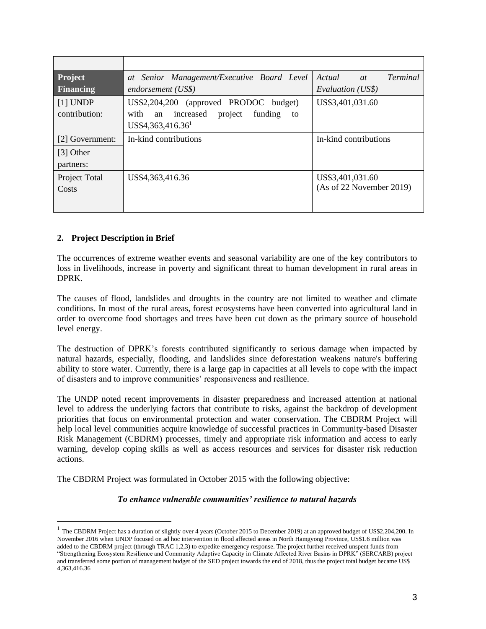| Project          | at Senior Management/Executive Board Level       | Actual<br><i>Terminal</i><br>at |
|------------------|--------------------------------------------------|---------------------------------|
| <b>Financing</b> | endorsement (US\$)                               | Evaluation (US\$)               |
| $[1]$ UNDP       | US\$2,204,200 (approved PRODOC budget)           | US\$3,401,031.60                |
| contribution:    | an increased<br>project<br>with<br>funding<br>to |                                 |
|                  | US\$4,363,416.36 <sup>1</sup>                    |                                 |
| [2] Government:  | In-kind contributions                            | In-kind contributions           |
| [3] Other        |                                                  |                                 |
| partners:        |                                                  |                                 |
| Project Total    | US\$4,363,416.36                                 | US\$3,401,031.60                |
| Costs            |                                                  | (As of 22 November 2019)        |
|                  |                                                  |                                 |
|                  |                                                  |                                 |

# **2. Project Description in Brief**

The occurrences of extreme weather events and seasonal variability are one of the key contributors to loss in livelihoods, increase in poverty and significant threat to human development in rural areas in DPRK.

The causes of flood, landslides and droughts in the country are not limited to weather and climate conditions. In most of the rural areas, forest ecosystems have been converted into agricultural land in order to overcome food shortages and trees have been cut down as the primary source of household level energy.

The destruction of DPRK's forests contributed significantly to serious damage when impacted by natural hazards, especially, flooding, and landslides since deforestation weakens nature's buffering ability to store water. Currently, there is a large gap in capacities at all levels to cope with the impact of disasters and to improve communities' responsiveness and resilience.

The UNDP noted recent improvements in disaster preparedness and increased attention at national level to address the underlying factors that contribute to risks, against the backdrop of development priorities that focus on environmental protection and water conservation. The CBDRM Project will help local level communities acquire knowledge of successful practices in Community-based Disaster Risk Management (CBDRM) processes, timely and appropriate risk information and access to early warning, develop coping skills as well as access resources and services for disaster risk reduction actions.

The CBDRM Project was formulated in October 2015 with the following objective:

#### *To enhance vulnerable communities' resilience to natural hazards*

<sup>&</sup>lt;sup>1</sup> The CBDRM Project has a duration of slightly over 4 years (October 2015 to December 2019) at an approved budget of US\$2,204,200. In November 2016 when UNDP focused on ad hoc intervention in flood affected areas in North Hamgyong Province, US\$1.6 million was added to the CBDRM project (through TRAC 1,2,3) to expedite emergency response. The project further received unspent funds from "Strengthening Ecosystem Resilience and Community Adaptive Capacity in Climate Affected River Basins in DPRK" (SERCARB) project and transferred some portion of management budget of the SED project towards the end of 2018, thus the project total budget became US\$ 4,363,416.36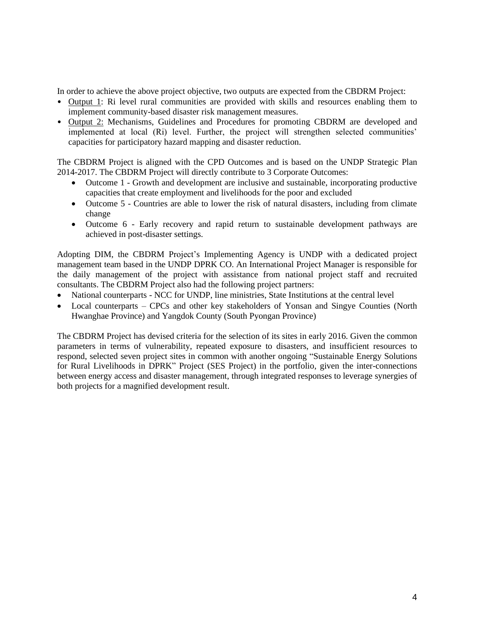In order to achieve the above project objective, two outputs are expected from the CBDRM Project:

- Output 1: Ri level rural communities are provided with skills and resources enabling them to implement community-based disaster risk management measures.
- Output 2: Mechanisms, Guidelines and Procedures for promoting CBDRM are developed and implemented at local (Ri) level. Further, the project will strengthen selected communities' capacities for participatory hazard mapping and disaster reduction.

The CBDRM Project is aligned with the CPD Outcomes and is based on the UNDP Strategic Plan 2014-2017. The CBDRM Project will directly contribute to 3 Corporate Outcomes:

- Outcome 1 Growth and development are inclusive and sustainable, incorporating productive capacities that create employment and livelihoods for the poor and excluded
- Outcome 5 Countries are able to lower the risk of natural disasters, including from climate change
- Outcome 6 Early recovery and rapid return to sustainable development pathways are achieved in post-disaster settings.

Adopting DIM, the CBDRM Project's Implementing Agency is UNDP with a dedicated project management team based in the UNDP DPRK CO. An International Project Manager is responsible for the daily management of the project with assistance from national project staff and recruited consultants. The CBDRM Project also had the following project partners:

- National counterparts NCC for UNDP, line ministries, State Institutions at the central level
- Local counterparts CPCs and other key stakeholders of Yonsan and Singye Counties (North Hwanghae Province) and Yangdok County (South Pyongan Province)

The CBDRM Project has devised criteria for the selection of its sites in early 2016. Given the common parameters in terms of vulnerability, repeated exposure to disasters, and insufficient resources to respond, selected seven project sites in common with another ongoing "Sustainable Energy Solutions for Rural Livelihoods in DPRK" Project (SES Project) in the portfolio, given the inter-connections between energy access and disaster management, through integrated responses to leverage synergies of both projects for a magnified development result.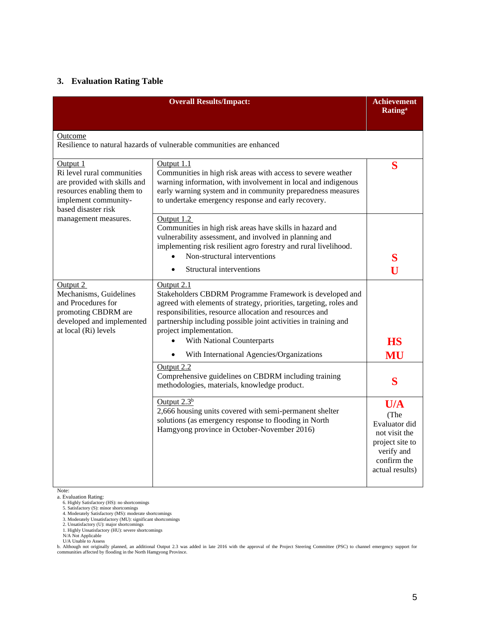# **3. Evaluation Rating Table**

|                                                                                                                                                     | <b>Overall Results/Impact:</b>                                                                                                                                                                                                                                                                                                     | <b>Achievement</b><br><b>Rating</b> <sup>a</sup>                                                                 |
|-----------------------------------------------------------------------------------------------------------------------------------------------------|------------------------------------------------------------------------------------------------------------------------------------------------------------------------------------------------------------------------------------------------------------------------------------------------------------------------------------|------------------------------------------------------------------------------------------------------------------|
| Outcome                                                                                                                                             | Resilience to natural hazards of vulnerable communities are enhanced                                                                                                                                                                                                                                                               |                                                                                                                  |
| Output 1<br>Ri level rural communities<br>are provided with skills and<br>resources enabling them to<br>implement community-<br>based disaster risk | Output 1.1<br>Communities in high risk areas with access to severe weather<br>warning information, with involvement in local and indigenous<br>early warning system and in community preparedness measures<br>to undertake emergency response and early recovery.                                                                  | S                                                                                                                |
| management measures.                                                                                                                                | Output 1.2<br>Communities in high risk areas have skills in hazard and<br>vulnerability assessment, and involved in planning and<br>implementing risk resilient agro forestry and rural livelihood.<br>Non-structural interventions<br>Structural interventions<br>$\bullet$                                                       | S<br>U                                                                                                           |
| Output 2<br>Mechanisms, Guidelines<br>and Procedures for<br>promoting CBDRM are<br>developed and implemented<br>at local (Ri) levels                | Output 2.1<br>Stakeholders CBDRM Programme Framework is developed and<br>agreed with elements of strategy, priorities, targeting, roles and<br>responsibilities, resource allocation and resources and<br>partnership including possible joint activities in training and<br>project implementation.<br>With National Counterparts | <b>HS</b>                                                                                                        |
|                                                                                                                                                     | With International Agencies/Organizations<br>Output 2.2<br>Comprehensive guidelines on CBDRM including training<br>methodologies, materials, knowledge product.                                                                                                                                                                    | MU<br>S                                                                                                          |
|                                                                                                                                                     | Output $2.3b$<br>2,666 housing units covered with semi-permanent shelter<br>solutions (as emergency response to flooding in North<br>Hamgyong province in October-November 2016)                                                                                                                                                   | U/A<br>(The<br>Evaluator did<br>not visit the<br>project site to<br>verify and<br>confirm the<br>actual results) |

Note:

a. Evaluation Rating:<br>
6. Highly Satisfactory (HS): no shortcomings<br>
4. Moderately Satisfactory (MS): moderate shortcomings<br>
4. Moderately Unsatisfactory (U): mighticant shortcomings<br>
2. Unsatisfactory (U): mighticant shor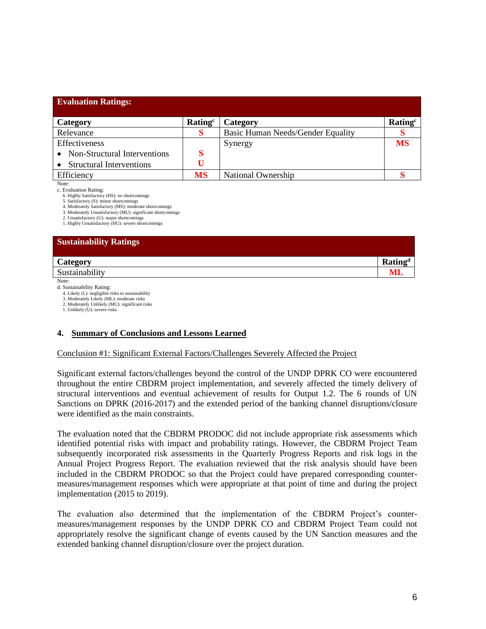| <b>Evaluation Ratings:</b>      |                     |                                   |                     |
|---------------------------------|---------------------|-----------------------------------|---------------------|
| Category                        | Rating <sup>c</sup> | Category                          | Rating <sup>c</sup> |
| Relevance                       |                     | Basic Human Needs/Gender Equality |                     |
| Effectiveness                   |                     | Synergy                           | <b>MS</b>           |
| Non-Structural Interventions    |                     |                                   |                     |
| <b>Structural Interventions</b> |                     |                                   |                     |
| Efficiency                      | MS                  | National Ownership                |                     |

Note:

c. Evaluation Rating:

6. Highly Satisfactory (HS): no shortcomings

5. Satisfactory (S): minor shortcomings

4. Moderately Satisfactory (MS): moderate shortcomings

3. Moderately Unsatisfactory (MU): significant shortcomings 2. Unsatisfactory (U): major shortcomi

1. Highly Unsatisfactory (HU): severe shortcomings

#### **Sustainability Ratings**

| Category                | $\mathbf{D}$ - $\mathbf{L}^2$<br>.<br>rau |
|-------------------------|-------------------------------------------|
| 1.111<br>Sustainability |                                           |

Note:

d. Sustainability Rating:

4. Likely (L): negligible risks to sustainability

3. Moderately Likely (ML): moderate risks 2. Moderately Unlikely (MU): significant risks

1. Unlikely (U): severe risks

# **4. Summary of Conclusions and Lessons Learned**

### Conclusion #1: Significant External Factors/Challenges Severely Affected the Project

Significant external factors/challenges beyond the control of the UNDP DPRK CO were encountered throughout the entire CBDRM project implementation, and severely affected the timely delivery of structural interventions and eventual achievement of results for Output 1.2. The 6 rounds of UN Sanctions on DPRK (2016-2017) and the extended period of the banking channel disruptions/closure were identified as the main constraints.

The evaluation noted that the CBDRM PRODOC did not include appropriate risk assessments which identified potential risks with impact and probability ratings. However, the CBDRM Project Team subsequently incorporated risk assessments in the Quarterly Progress Reports and risk logs in the Annual Project Progress Report. The evaluation reviewed that the risk analysis should have been included in the CBDRM PRODOC so that the Project could have prepared corresponding countermeasures/management responses which were appropriate at that point of time and during the project implementation (2015 to 2019).

The evaluation also determined that the implementation of the CBDRM Project's countermeasures/management responses by the UNDP DPRK CO and CBDRM Project Team could not appropriately resolve the significant change of events caused by the UN Sanction measures and the extended banking channel disruption/closure over the project duration.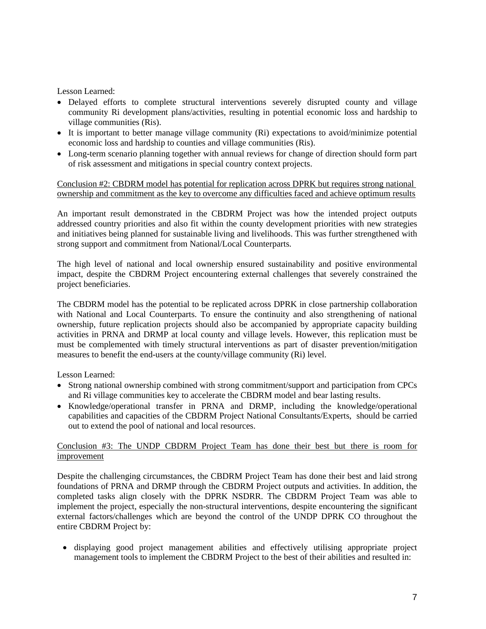Lesson Learned:

- Delayed efforts to complete structural interventions severely disrupted county and village community Ri development plans/activities, resulting in potential economic loss and hardship to village communities (Ris).
- It is important to better manage village community (Ri) expectations to avoid/minimize potential economic loss and hardship to counties and village communities (Ris).
- Long-term scenario planning together with annual reviews for change of direction should form part of risk assessment and mitigations in special country context projects.

Conclusion #2: CBDRM model has potential for replication across DPRK but requires strong national ownership and commitment as the key to overcome any difficulties faced and achieve optimum results

An important result demonstrated in the CBDRM Project was how the intended project outputs addressed country priorities and also fit within the county development priorities with new strategies and initiatives being planned for sustainable living and livelihoods. This was further strengthened with strong support and commitment from National/Local Counterparts.

The high level of national and local ownership ensured sustainability and positive environmental impact, despite the CBDRM Project encountering external challenges that severely constrained the project beneficiaries.

The CBDRM model has the potential to be replicated across DPRK in close partnership collaboration with National and Local Counterparts. To ensure the continuity and also strengthening of national ownership, future replication projects should also be accompanied by appropriate capacity building activities in PRNA and DRMP at local county and village levels. However, this replication must be must be complemented with timely structural interventions as part of disaster prevention/mitigation measures to benefit the end-users at the county/village community (Ri) level.

Lesson Learned:

- Strong national ownership combined with strong commitment/support and participation from CPCs and Ri village communities key to accelerate the CBDRM model and bear lasting results.
- Knowledge/operational transfer in PRNA and DRMP, including the knowledge/operational capabilities and capacities of the CBDRM Project National Consultants/Experts, should be carried out to extend the pool of national and local resources.

### Conclusion #3: The UNDP CBDRM Project Team has done their best but there is room for improvement

Despite the challenging circumstances, the CBDRM Project Team has done their best and laid strong foundations of PRNA and DRMP through the CBDRM Project outputs and activities. In addition, the completed tasks align closely with the DPRK NSDRR. The CBDRM Project Team was able to implement the project, especially the non-structural interventions, despite encountering the significant external factors/challenges which are beyond the control of the UNDP DPRK CO throughout the entire CBDRM Project by:

• displaying good project management abilities and effectively utilising appropriate project management tools to implement the CBDRM Project to the best of their abilities and resulted in: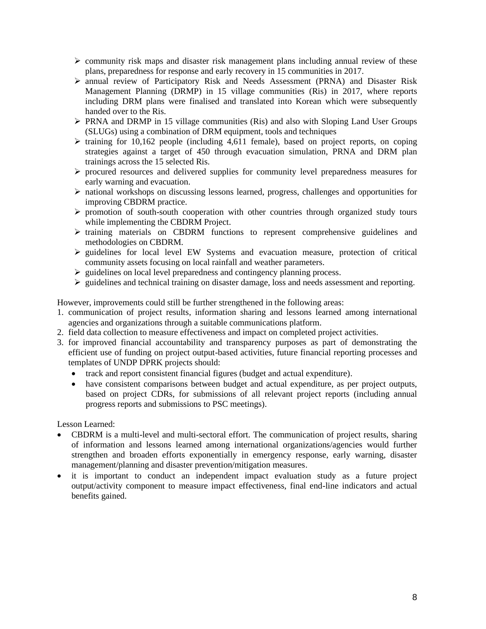- ➢ community risk maps and disaster risk management plans including annual review of these plans, preparedness for response and early recovery in 15 communities in 2017.
- ➢ annual review of Participatory Risk and Needs Assessment (PRNA) and Disaster Risk Management Planning (DRMP) in 15 village communities (Ris) in 2017, where reports including DRM plans were finalised and translated into Korean which were subsequently handed over to the Ris.
- ➢ PRNA and DRMP in 15 village communities (Ris) and also with Sloping Land User Groups (SLUGs) using a combination of DRM equipment, tools and techniques
- $\triangleright$  training for 10,162 people (including 4,611 female), based on project reports, on coping strategies against a target of 450 through evacuation simulation, PRNA and DRM plan trainings across the 15 selected Ris.
- ➢ procured resources and delivered supplies for community level preparedness measures for early warning and evacuation.
- ➢ national workshops on discussing lessons learned, progress, challenges and opportunities for improving CBDRM practice.
- ➢ promotion of south-south cooperation with other countries through organized study tours while implementing the CBDRM Project.
- ➢ training materials on CBDRM functions to represent comprehensive guidelines and methodologies on CBDRM.
- ➢ guidelines for local level EW Systems and evacuation measure, protection of critical community assets focusing on local rainfall and weather parameters.
- ➢ guidelines on local level preparedness and contingency planning process.
- ➢ guidelines and technical training on disaster damage, loss and needs assessment and reporting.

However, improvements could still be further strengthened in the following areas:

- 1. communication of project results, information sharing and lessons learned among international agencies and organizations through a suitable communications platform.
- 2. field data collection to measure effectiveness and impact on completed project activities.
- 3. for improved financial accountability and transparency purposes as part of demonstrating the efficient use of funding on project output-based activities, future financial reporting processes and templates of UNDP DPRK projects should:
	- track and report consistent financial figures (budget and actual expenditure).
	- have consistent comparisons between budget and actual expenditure, as per project outputs, based on project CDRs, for submissions of all relevant project reports (including annual progress reports and submissions to PSC meetings).

Lesson Learned:

- CBDRM is a multi-level and multi-sectoral effort. The communication of project results, sharing of information and lessons learned among international organizations/agencies would further strengthen and broaden efforts exponentially in emergency response, early warning, disaster management/planning and disaster prevention/mitigation measures.
- it is important to conduct an independent impact evaluation study as a future project output/activity component to measure impact effectiveness, final end-line indicators and actual benefits gained.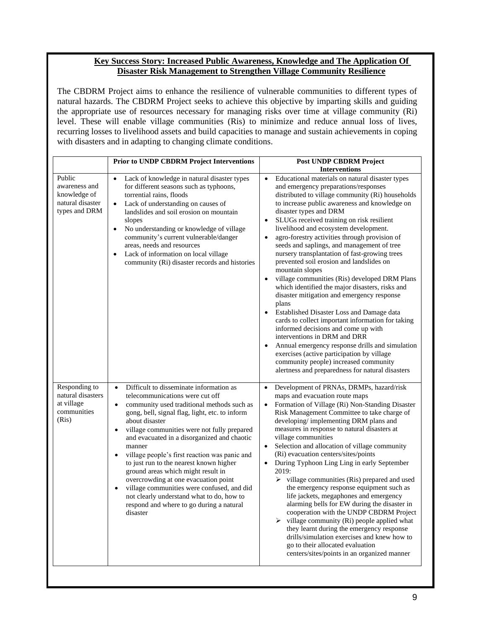### **Key Success Story: Increased Public Awareness, Knowledge and The Application Of Disaster Risk Management to Strengthen Village Community Resilience**

The CBDRM Project aims to enhance the resilience of vulnerable communities to different types of natural hazards. The CBDRM Project seeks to achieve this objective by imparting skills and guiding the appropriate use of resources necessary for managing risks over time at village community (Ri) level. These will enable village communities (Ris) to minimize and reduce annual loss of lives, recurring losses to livelihood assets and build capacities to manage and sustain achievements in coping with disasters and in adapting to changing climate conditions.

|                                                                              | <b>Prior to UNDP CBDRM Project Interventions</b>                                                                                                                                                                                                                                                                                                                                                                                                                                                                                                                                                                                                                                                   | Post UNDP CBDRM Project                                                                                                                                                                                                                                                                                                                                                                                                                                                                                                                                                                                                                                                                                                                                                                                                                                                                                                                                                                                                                                                                                           |
|------------------------------------------------------------------------------|----------------------------------------------------------------------------------------------------------------------------------------------------------------------------------------------------------------------------------------------------------------------------------------------------------------------------------------------------------------------------------------------------------------------------------------------------------------------------------------------------------------------------------------------------------------------------------------------------------------------------------------------------------------------------------------------------|-------------------------------------------------------------------------------------------------------------------------------------------------------------------------------------------------------------------------------------------------------------------------------------------------------------------------------------------------------------------------------------------------------------------------------------------------------------------------------------------------------------------------------------------------------------------------------------------------------------------------------------------------------------------------------------------------------------------------------------------------------------------------------------------------------------------------------------------------------------------------------------------------------------------------------------------------------------------------------------------------------------------------------------------------------------------------------------------------------------------|
|                                                                              |                                                                                                                                                                                                                                                                                                                                                                                                                                                                                                                                                                                                                                                                                                    | <b>Interventions</b>                                                                                                                                                                                                                                                                                                                                                                                                                                                                                                                                                                                                                                                                                                                                                                                                                                                                                                                                                                                                                                                                                              |
| Public<br>awareness and<br>knowledge of<br>natural disaster<br>types and DRM | Lack of knowledge in natural disaster types<br>$\bullet$<br>for different seasons such as typhoons,<br>torrential rains, floods<br>Lack of understanding on causes of<br>$\bullet$<br>landslides and soil erosion on mountain<br>slopes<br>No understanding or knowledge of village<br>$\bullet$<br>community's current vulnerable/danger<br>areas, needs and resources<br>Lack of information on local village<br>community (Ri) disaster records and histories                                                                                                                                                                                                                                   | Educational materials on natural disaster types<br>$\bullet$<br>and emergency preparations/responses<br>distributed to village community (Ri) households<br>to increase public awareness and knowledge on<br>disaster types and DRM<br>SLUGs received training on risk resilient<br>$\bullet$<br>livelihood and ecosystem development.<br>agro-forestry activities through provision of<br>$\bullet$<br>seeds and saplings, and management of tree<br>nursery transplantation of fast-growing trees<br>prevented soil erosion and landslides on<br>mountain slopes<br>village communities (Ris) developed DRM Plans<br>$\bullet$<br>which identified the major disasters, risks and<br>disaster mitigation and emergency response<br>plans<br>Established Disaster Loss and Damage data<br>cards to collect important information for taking<br>informed decisions and come up with<br>interventions in DRM and DRR<br>Annual emergency response drills and simulation<br>exercises (active participation by village<br>community people) increased community<br>alertness and preparedness for natural disasters |
| Responding to<br>natural disasters<br>at village<br>communities<br>(Ris)     | Difficult to disseminate information as<br>$\bullet$<br>telecommunications were cut off<br>community used traditional methods such as<br>$\bullet$<br>gong, bell, signal flag, light, etc. to inform<br>about disaster<br>village communities were not fully prepared<br>$\bullet$<br>and evacuated in a disorganized and chaotic<br>manner<br>village people's first reaction was panic and<br>$\bullet$<br>to just run to the nearest known higher<br>ground areas which might result in<br>overcrowding at one evacuation point<br>village communities were confused, and did<br>$\bullet$<br>not clearly understand what to do, how to<br>respond and where to go during a natural<br>disaster | Development of PRNAs, DRMPs, hazard/risk<br>maps and evacuation route maps<br>Formation of Village (Ri) Non-Standing Disaster<br>$\bullet$<br>Risk Management Committee to take charge of<br>developing/implementing DRM plans and<br>measures in response to natural disasters at<br>village communities<br>Selection and allocation of village community<br>(Ri) evacuation centers/sites/points<br>During Typhoon Ling Ling in early September<br>$\bullet$<br>2019:<br>$\triangleright$ village communities (Ris) prepared and used<br>the emergency response equipment such as<br>life jackets, megaphones and emergency<br>alarming bells for EW during the disaster in<br>cooperation with the UNDP CBDRM Project<br>$\triangleright$ village community (Ri) people applied what<br>they learnt during the emergency response<br>drills/simulation exercises and knew how to<br>go to their allocated evaluation<br>centers/sites/points in an organized manner                                                                                                                                            |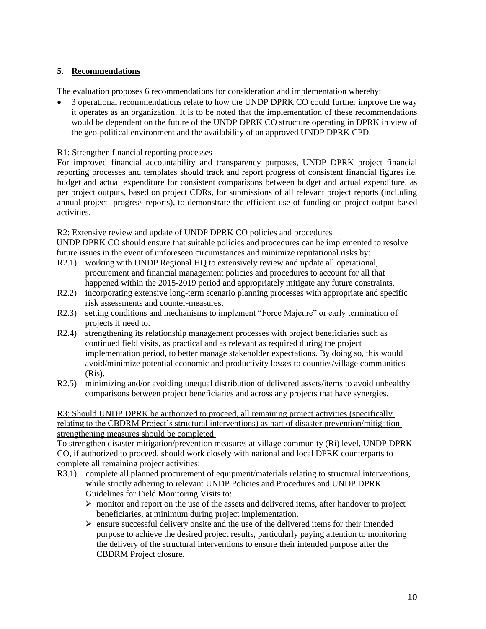# **5. Recommendations**

The evaluation proposes 6 recommendations for consideration and implementation whereby:

• 3 operational recommendations relate to how the UNDP DPRK CO could further improve the way it operates as an organization. It is to be noted that the implementation of these recommendations would be dependent on the future of the UNDP DPRK CO structure operating in DPRK in view of the geo-political environment and the availability of an approved UNDP DPRK CPD.

# R1: Strengthen financial reporting processes

For improved financial accountability and transparency purposes, UNDP DPRK project financial reporting processes and templates should track and report progress of consistent financial figures i.e. budget and actual expenditure for consistent comparisons between budget and actual expenditure, as per project outputs, based on project CDRs, for submissions of all relevant project reports (including annual project progress reports), to demonstrate the efficient use of funding on project output-based activities.

# R2: Extensive review and update of UNDP DPRK CO policies and procedures

UNDP DPRK CO should ensure that suitable policies and procedures can be implemented to resolve future issues in the event of unforeseen circumstances and minimize reputational risks by:

- R2.1) working with UNDP Regional HQ to extensively review and update all operational, procurement and financial management policies and procedures to account for all that happened within the 2015-2019 period and appropriately mitigate any future constraints.
- R2.2) incorporating extensive long-term scenario planning processes with appropriate and specific risk assessments and counter-measures.
- R2.3) setting conditions and mechanisms to implement "Force Majeure" or early termination of projects if need to.
- R2.4) strengthening its relationship management processes with project beneficiaries such as continued field visits, as practical and as relevant as required during the project implementation period, to better manage stakeholder expectations. By doing so, this would avoid/minimize potential economic and productivity losses to counties/village communities (Ris).
- R2.5) minimizing and/or avoiding unequal distribution of delivered assets/items to avoid unhealthy comparisons between project beneficiaries and across any projects that have synergies.

R3: Should UNDP DPRK be authorized to proceed, all remaining project activities (specifically relating to the CBDRM Project's structural interventions) as part of disaster prevention/mitigation strengthening measures should be completed

To strengthen disaster mitigation/prevention measures at village community (Ri) level, UNDP DPRK CO, if authorized to proceed, should work closely with national and local DPRK counterparts to complete all remaining project activities:

- R3.1) complete all planned procurement of equipment/materials relating to structural interventions, while strictly adhering to relevant UNDP Policies and Procedures and UNDP DPRK Guidelines for Field Monitoring Visits to:
	- $\triangleright$  monitor and report on the use of the assets and delivered items, after handover to project beneficiaries, at minimum during project implementation.
	- ➢ ensure successful delivery onsite and the use of the delivered items for their intended purpose to achieve the desired project results, particularly paying attention to monitoring the delivery of the structural interventions to ensure their intended purpose after the CBDRM Project closure.